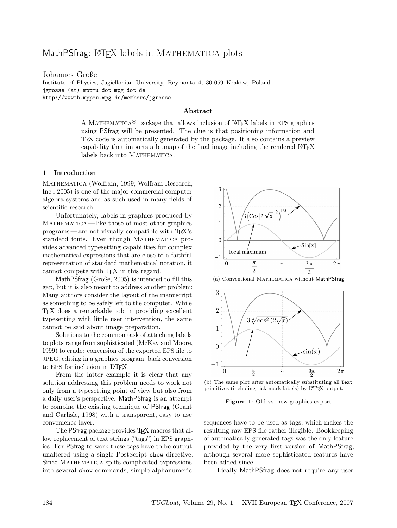# MathPSfrag: LATEX labels in MATHEMATICA plots

Johannes Große Institute of Physics, Jagiellonian University, Reymonta 4, 30-059 Kraków, Poland jgrosse (at) mppmu dot mpg dot de http://wwwth.mppmu.mpg.de/members/jgrosse

### Abstract

A MATHEMATICA<sup>®</sup> package that allows inclusion of LAT<sub>EX</sub> labels in EPS graphics using PSfrag will be presented. The clue is that positioning information and TEX code is automatically generated by the package. It also contains a preview capability that imports a bitmap of the final image including the rendered L<sup>A</sup>TEX labels back into MATHEMATICA.

## 1 Introduction

Mathematica [\(Wolfram, 1999;](#page-5-0) [Wolfram Research,](#page-5-1) [Inc., 2005\)](#page-5-1) is one of the major commercial computer algebra systems and as such used in many fields of scientific research.

Unfortunately, labels in graphics produced by MATHEMATICA— like those of most other graphics programs— are not visually compatible with TEX's standard fonts. Even though MATHEMATICA provides advanced typesetting capabilities for complex mathematical expressions that are close to a faithful representation of standard mathematical notation, it cannot compete with T<sub>EX</sub> in this regard.

MathPSfrag [\(Große, 2005\)](#page-5-2) is intended to fill this gap, but it is also meant to address another problem: Many authors consider the layout of the manuscript as something to be safely left to the computer. While TEX does a remarkable job in providing excellent typesetting with little user intervention, the same cannot be said about image preparation.

Solutions to the common task of attaching labels to plots range from sophisticated [\(McKay and Moore,](#page-5-3) [1999\)](#page-5-3) to crude: conversion of the exported EPS file to JPEG, editing in a graphics program, back conversion to EPS for inclusion in L<sup>AT</sup>FX.

From the latter example it is clear that any solution addressing this problem needs to work not only from a typesetting point of view but also from a daily user's perspective. MathPSfrag is an attempt to combine the existing technique of PSfrag [\(Grant](#page-5-4) [and Carlisle, 1998\)](#page-5-4) with a transparent, easy to use convenience layer.

The PSfrag package provides T<sub>F</sub>X macros that allow replacement of text strings ("tags") in EPS graphics. For PSfrag to work these tags have to be output unaltered using a single PostScript show directive. Since MATHEMATICA splits complicated expressions into several show commands, simple alphanumeric

<span id="page-0-0"></span>

(a) Conventional Mathematica without MathPSfrag

<span id="page-0-2"></span>

(b) The same plot after automatically substituting all Text primitives (including tick mark labels) by LATEX output.

<span id="page-0-1"></span>Figure 1: Old vs. new graphics export

sequences have to be used as tags, which makes the resulting raw EPS file rather illegible. Bookkeeping of automatically generated tags was the only feature provided by the very first version of MathPSfrag, although several more sophisticated features have been added since.

Ideally MathPSfrag does not require any user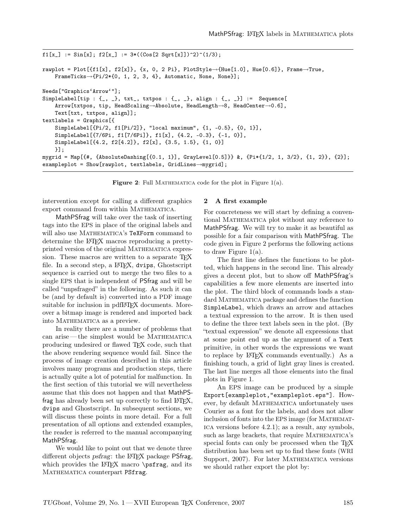```
f1[x_] := Sin[x]; f2[x_] := 3*((Cos[2 Sqrt[x])^2)^(1/3);rawplot = Plot[{f1[x], f2[x]}, {x, 0, 2 Pi}, PlotStyle→{Hue[1.0], Hue[0.6]}, Frame→True,
   FrameTicks→{Pi/2*{0, 1, 2, 3, 4}, Automatic, None, None}];
Needs["Graphics'Arrow'"];
SimpleLabel[tip : {_, _}, txt_, txtpos : {_, _}, align : {_, _}] := Sequence[
   Arrow[txtpos, tip, HeadScaling→Absolute, HeadLength→8, HeadCenter→0.6],
   Text[txt, txtpos, align]];
textlabels = Graphics[{
   SimpleLabel[{Pi/2, f1[Pi/2]}, "local maximum", {1, -0.5}, {0, 1}],
   SimpleLabel[{7/6Pi, f1[7/6Pi]}, f1[x], {4.2, -0.3}, {-1, 0}],
   SimpleLabel[{4.2, f2[4.2]}, f2[x], {3.5, 1.5}, {1, 0}]
   }];
mygrid = Map[{#, {AbsoluteDashing[{0.1, 1}], GrayLevel[0.5]}} &, {Pi*{1/2, 1, 3/2}, {1, 2}}, {2}];
exampleplot = Show[rawplot, textlabels, GridLines→mygrid];
```
<span id="page-1-0"></span>Figure 2: Full MATHEMATICA code for the plot in Figure [1\(a\).](#page-0-0)

intervention except for calling a different graphics export command from within MATHEMATICA.

MathPSfrag will take over the task of inserting tags into the EPS in place of the original labels and will also use MATHEMATICA's TeXForm command to determine the LAT<sub>EX</sub> macros reproducing a prettyprinted version of the original MATHEMATICA expression. These macros are written to a separate T<sub>E</sub>X file. In a second step, a IAT<sub>F</sub>X, dvips, Ghostscript sequence is carried out to merge the two files to a single EPS that is independent of PSfrag and will be called "unpsfraged" in the following. As such it can be (and by default is) converted into a PDF image suitable for inclusion in pdfL<sup>AT</sup>FX documents. Moreover a bitmap image is rendered and imported back into MATHEMATICA as a preview.

In reality there are a number of problems that can arise— the simplest would be Mathematica producing undesired or flawed TEX code, such that the above rendering sequence would fail. Since the process of image creation described in this article involves many programs and production steps, there is actually quite a lot of potential for malfunction. In the first section of this tutorial we will nevertheless assume that this does not happen and that MathPSfrag has already been set up correctly to find LAT<sub>EX</sub>, dvips and Ghostscript. In subsequent sections, we will discuss these points in more detail. For a full presentation of all options and extended examples, the reader is referred to the manual accompanying MathPSfrag.

We would like to point out that we denote three different objects psfrag: the LAT<sub>EX</sub> package PSfrag, which provides the L<sup>AT</sup>FX macro  $\text{psfrag}$ , and its MATHEMATICA counterpart PSfrag.

#### <span id="page-1-1"></span>2 A first example

For concreteness we will start by defining a conventional Mathematica plot without any reference to MathPSfrag. We will try to make it as beautiful as possible for a fair comparison with MathPSfrag. The code given in Figure [2](#page-1-0) performs the following actions to draw Figure [1\(a\).](#page-0-0)

The first line defines the functions to be plotted, which happens in the second line. This already gives a decent plot, but to show off MathPSfrag's capabilities a few more elements are inserted into the plot. The third block of commands loads a standard MATHEMATICA package and defines the function SimpleLabel, which draws an arrow and attaches a textual expression to the arrow. It is then used to define the three text labels seen in the plot. (By "textual expression" we denote all expressions that at some point end up as the argument of a Text primitive, in other words the expressions we want to replace by LAT<sub>EX</sub> commands eventually.) As a finishing touch, a grid of light gray lines is created. The last line merges all those elements into the final plots in Figure [1.](#page-0-1)

An EPS image can be produced by a simple Export[exampleplot,"exampleplot.eps"]. However, by default MATHEMATICA unfortunately uses Courier as a font for the labels, and does not allow inclusion of fonts into the EPS image (for MATHEMATica versions before 4.2.1); as a result, any symbols, such as large brackets, that require MATHEMATICA's special fonts can only be processed when the T<sub>EX</sub> distribution has been set up to find these fonts ([WRI](#page-5-5) [Support, 2007\)](#page-5-5). For later MATHEMATICA versions we should rather export the plot by: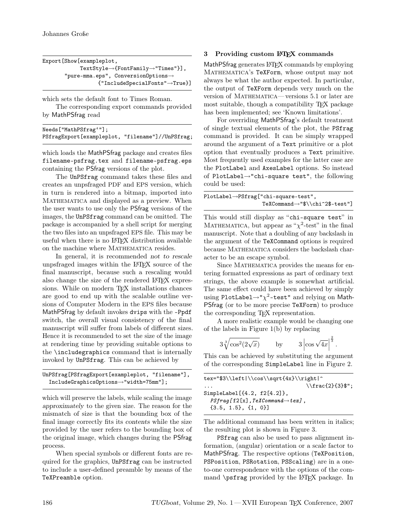```
Export[Show[exampleplot,
           TextStyle→{FontFamily→"Times"}],
       "pure-mma.eps", ConversionOptions→
                 {"IncludeSpecialFonts"→True}]
```
which sets the default font to Times Roman.

The corresponding export commands provided by MathPSfrag read

| Needs["MathPSfrag'"];                            |  |
|--------------------------------------------------|--|
| PSfragExport[exampleplot, "filename"]//UnPSfrag; |  |

which loads the MathPSfrag package and creates files filename-psfrag.tex and filename-psfrag.eps containing the PSfrag versions of the plot.

The UnPSfrag command takes these files and creates an unpsfraged PDF and EPS version, which in turn is rendered into a bitmap, imported into MATHEMATICA and displayed as a preview. When the user wants to use only the PSfrag versions of the images, the UnPSfrag command can be omitted. The package is accompanied by a shell script for merging the two files into an unpsfraged EPS file. This may be useful when there is no L<sup>A</sup>TEX distribution available on the machine where MATHEMATICA resides.

In general, it is recommended not to rescale unpsfraged images within the L<sup>A</sup>TEX source of the final manuscript, because such a rescaling would also change the size of the rendered LAT<sub>EX</sub> expressions. While on modern T<sub>F</sub>X installations chances are good to end up with the scalable outline versions of Computer Modern in the EPS files because MathPSfrag by default invokes dvips with the -Ppdf switch, the overall visual consistency of the final manuscript will suffer from labels of different sizes. Hence it is recommended to set the size of the image at rendering time by providing suitable options to the \includegraphics command that is internally invoked by UnPSfrag. This can be achieved by

```
UnPSfrag[PSfragExport[exampleplot, "filename"],
 IncludeGraphicsOptions→"width=75mm"];
```
which will preserve the labels, while scaling the image approximately to the given size. The reason for the mismatch of size is that the bounding box of the final image correctly fits its contents while the size provided by the user refers to the bounding box of the original image, which changes during the PSfrag process.

When special symbols or different fonts are required for the graphics, UnPSfrag can be instructed to include a user-defined preamble by means of the TeXPreamble option.

# <span id="page-2-0"></span>3 Providing custom LATEX commands

MathPSfrag generates LAT<sub>EX</sub> commands by employing Mathematica's TeXForm, whose output may not always be what the author expected. In particular, the output of TeXForm depends very much on the version of Mathematica— versions 5.1 or later are most suitable, though a compatibility TEX package has been implemented; see ['Known limitations'](#page-4-0).

For overriding MathPSfrag's default treatment of single textual elements of the plot, the PSfrag command is provided. It can be simply wrapped around the argument of a Text primitive or a plot option that eventually produces a Text primitive. Most frequently used examples for the latter case are the PlotLabel and AxesLabel options. So instead of PlotLabel→"chi-square test", the following could be used:

| $PlotLabel \rightarrow PString['chi-square-test",$ |  |
|----------------------------------------------------|--|
| $TeXCommand \rightarrow "\$ \ \ chi ^2\$-test "]   |  |

This would still display as "chi-square test" in MATHEMATICA, but appear as " $\chi^2$ -test" in the final manuscript. Note that a doubling of any backslash in the argument of the TeXCommand options is required because Mathematica considers the backslash character to be an escape symbol.

Since MATHEMATICA provides the means for entering formatted expressions as part of ordinary text strings, the above example is somewhat artificial. The same effect could have been achieved by simply using PlotLabel→" $\chi^2$ -test" and relying on Math-PSfrag (or to be more precise TeXForm) to produce the corresponding T<sub>EX</sub> representation.

A more realistic example would be changing one of the labels in Figure [1\(b\)](#page-0-2) by replacing

> $3\sqrt[3]{\cos^2(2\sqrt{x})}$  by  $3\left|\cos\sqrt{4x}\right|$  $\frac{2}{3}$ .

This can be achieved by substituting the argument of the corresponding SimpleLabel line in Figure [2.](#page-1-0)

| tex="\$3\\left \\cos\\sqrt{4x}\\right ^            |                       |
|----------------------------------------------------|-----------------------|
| $\cdots$                                           | $\{\frac{2}{3}\}\$ "; |
| SimpleLabel $[{4.2, f2[4.2]},$                     |                       |
| $P^{s}$ frag[f2[x], TeXCommand $\rightarrow$ tex], |                       |
| $\{3.5, 1.5\}, \{1, 0\}$                           |                       |

The additional command has been written in italics; the resulting plot is shown in Figure [3.](#page-3-0)

PSfrag can also be used to pass alignment information, (angular) orientation or a scale factor to MathPSfrag. The respective options (TeXPosition, PSPosition, PSRotation, PSScaling) are in a oneto-one correspondence with the options of the command  $\psfr{grad}$  provided by the LAT<sub>EX</sub> package. In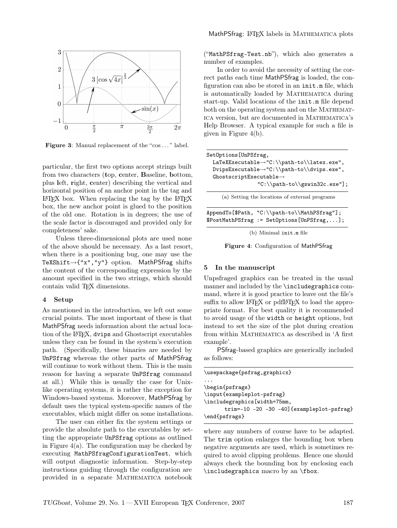

<span id="page-3-0"></span>Figure 3: Manual replacement of the "cos..." label.

particular, the first two options accept strings built from two characters (top, center, Baseline, bottom, plus left, right, center) describing the vertical and horizontal position of an anchor point in the tag and  $\text{LATEX}$  box. When replacing the tag by the  $\text{LATEX}$ box, the new anchor point is glued to the position of the old one. Rotation is in degrees; the use of the scale factor is discouraged and provided only for completeness' sake.

Unless three-dimensional plots are used none of the above should be necessary. As a last resort, when there is a positioning bug, one may use the TeXShift→{"x","y"} option. MathPSfrag shifts the content of the corresponding expression by the amount specified in the two strings, which should contain valid T<sub>E</sub>X dimensions.

#### 4 Setup

As mentioned in the introduction, we left out some crucial points. The most important of these is that MathPSfrag needs information about the actual location of the L<sup>A</sup>TEX, dvips and Ghostscript executables unless they can be found in the system's execution path. (Specifically, these binaries are needed by UnPSfrag whereas the other parts of MathPSfrag will continue to work without them. This is the main reason for having a separate UnPSfrag command at all.) While this is usually the case for Unixlike operating systems, it is rather the exception for Windows-based systems. Moreover, MathPSfrag by default uses the typical system-specific names of the executables, which might differ on some installations.

The user can either fix the system settings or provide the absolute path to the executables by setting the appropriate UnPSfrag options as outlined in Figure  $4(a)$ . The configuration may be checked by executing MathPSfragConfigurationTest, which will output diagnostic information. Step-by-step instructions guiding through the configuration are provided in a separate Mathematica notebook

("MathPSfrag-Test.nb"), which also generates a number of examples.

In order to avoid the necessity of setting the correct paths each time MathPSfrag is loaded, the configuration can also be stored in an init.m file, which is automatically loaded by MATHEMATICA during start-up. Valid locations of the init.m file depend both on the operating system and on the MATHEMATica version, but are documented in Mathematica's Help Browser. A typical example for such a file is given in Figure [4\(b\).](#page-3-2)

<span id="page-3-1"></span>

| SetOptions[UnPSfrag,                                      |
|-----------------------------------------------------------|
| $LaTeX{Executorable~"C:\\path-to\\later.exe",$            |
| $DvipsExecuteable \rightarrow "C:\\path-to\\div ps.exe",$ |
| $G$ hostscriptExecutable $\rightarrow$                    |
| $C:\\path-to\gswin32c.\exe"]$ ;                           |
| (a) Setting the locations of external programs            |
| AppendTo[\$Path, "C:\\path-to\\MathPSfrag"];              |
| $$PostMathPSfrag := SetOptions[UnPSfrag, ];$              |

(b) Minimal init.m file

<span id="page-3-2"></span>Figure 4: Configuration of MathPSfrag

#### 5 In the manuscript

Unpsfraged graphics can be treated in the usual manner and included by the \includegraphics command, where it is good practice to leave out the file's suffix to allow LAT<sub>EX</sub> or pdfLAT<sub>EX</sub> to load the appropriate format. For best quality it is recommended to avoid usage of the width or height options, but instead to set the size of the plot during creation from within MATHEMATICA as described in ['A first](#page-1-1) [example'](#page-1-1).

PSfrag-based graphics are generically included as follows:

| \usepackage{psfrag,graphicx}               |
|--------------------------------------------|
|                                            |
| \begin{psfrags}                            |
| \input{exampleplot-psfrag}                 |
| \includegraphics [width=75mm,              |
| trim=-10 -20 -30 -40] {exampleplot-psfrag} |
| \end{psfrags}                              |

where any numbers of course have to be adapted. The trim option enlarges the bounding box when negative arguments are used, which is sometimes required to avoid clipping problems. Hence one should always check the bounding box by enclosing each \includegraphics macro by an \fbox.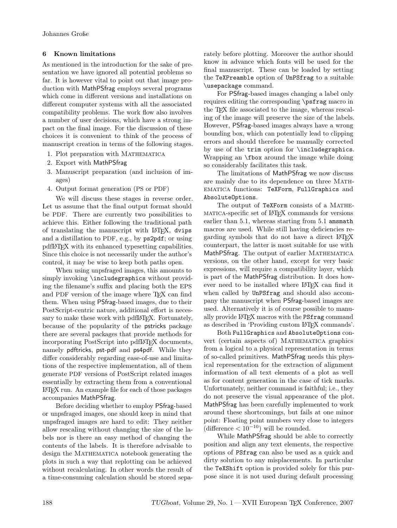# <span id="page-4-0"></span>6 Known limitations

As mentioned in the introduction for the sake of presentation we have ignored all potential problems so far. It is however vital to point out that image production with MathPSfrag employs several programs which come in different versions and installations on different computer systems with all the associated compatibility problems. The work flow also involves a number of user decisions, which have a strong impact on the final image. For the discussion of these choices it is convenient to think of the process of manuscript creation in terms of the following stages.

- 1. Plot preparation with Mathematica
- 2. Export with MathPSfrag
- 3. Manuscript preparation (and inclusion of images)
- 4. Output format generation (PS or PDF)

We will discuss these stages in reverse order. Let us assume that the final output format should be PDF. There are currently two possibilities to achieve this. Either following the traditional path of translating the manuscript with L<sup>AT</sup>FX, dvips and a distillation to PDF, e.g., by ps2pdf; or using pdfL<sup>A</sup>TEX with its enhanced typesetting capabilities. Since this choice is not necessarily under the author's control, it may be wise to keep both paths open.

When using unpsfraged images, this amounts to simply invoking \includegraphics without providing the filename's suffix and placing both the EPS and PDF version of the image where TFX can find them. When using PSfrag-based images, due to their PostScript-centric nature, additional effort is necessary to make these work with pdfLAT<sub>EX</sub>. Fortunately, because of the popularity of the pstricks package there are several packages that provide methods for incorporating PostScript into pdfL<sup>AT</sup>FX documents, namely pdftricks, pst-pdf and ps4pdf. While they differ considerably regarding ease-of-use and limitations of the respective implementation, all of them generate PDF versions of PostScript related images essentially by extracting them from a conventional L<sup>A</sup>TEX run. An example file for each of those packages accompanies MathPSfrag.

Before deciding whether to employ PSfrag-based or unpsfraged images, one should keep in mind that unpsfraged images are hard to edit: They neither allow rescaling without changing the size of the labels nor is there an easy method of changing the contents of the labels. It is therefore advisable to design the MATHEMATICA notebook generating the plots in such a way that replotting can be achieved without recalculating. In other words the result of a time-consuming calculation should be stored separately before plotting. Moreover the author should know in advance which fonts will be used for the final manuscript. These can be loaded by setting the TeXPreamble option of UnPSfrag to a suitable \usepackage command.

For PSfrag-based images changing a label only requires editing the corresponding \psfrag macro in the T<sub>E</sub>X file associated to the image, whereas rescaling of the image will preserve the size of the labels. However, PSfrag-based images always have a wrong bounding box, which can potentially lead to clipping errors and should therefore be manually corrected by use of the trim option for \includegraphics. Wrapping an \fbox around the image while doing so considerably facilitates this task.

The limitations of MathPSfrag we now discuss are mainly due to its dependence on three MATHematica functions: TeXForm, FullGraphics and AbsoluteOptions.

The output of TeXForm consists of a MATHEmatica-specific set of L<sup>A</sup>TEX commands for versions earlier than 5.1, whereas starting from 5.1 amsmath macros are used. While still having deficiencies regarding symbols that do not have a direct L<sup>A</sup>TEX counterpart, the latter is most suitable for use with MathPSfrag. The output of earlier MATHEMATICA versions, on the other hand, except for very basic expressions, will require a compatibility layer, which is part of the MathPSfrag distribution. It does however need to be installed where L<sup>A</sup>TEX can find it when called by UnPSfrag and should also accompany the manuscript when PSfrag-based images are used. Alternatively it is of course possible to manually provide L<sup>A</sup>T<sub>F</sub>X macros with the PSfrag command as described in ['Providing custom L](#page-2-0)<sup>A</sup>TEX commands'.

Both FullGraphics and AbsoluteOptions convert (certain aspects of) MATHEMATICA graphics from a logical to a physical representation in terms of so-called primitives. MathPSfrag needs this physical representation for the extraction of alignment information of all text elements of a plot as well as for content generation in the case of tick marks. Unfortunately, neither command is faithful; i.e., they do not preserve the visual appearance of the plot. MathPSfrag has been carefully implemented to work around these shortcomings, but fails at one minor point: Floating point numbers very close to integers (difference  $< 10^{-10}$ ) will be rounded.

While MathPSfrag should be able to correctly position and align any text elements, the respective options of PSfrag can also be used as a quick and dirty solution to any misplacements. In particular the TeXShift option is provided solely for this purpose since it is not used during default processing